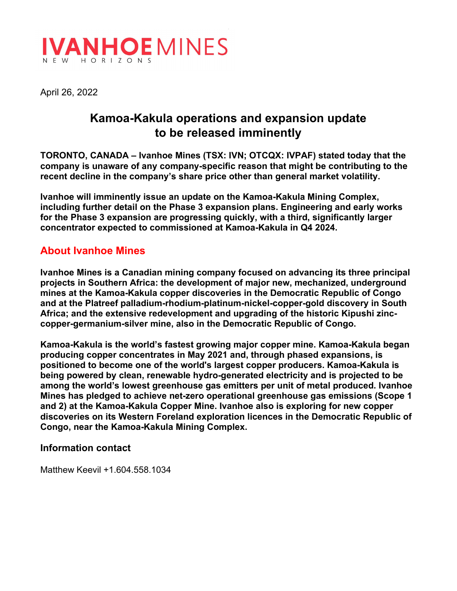

April 26, 2022

## **Kamoa-Kakula operations and expansion update to be released imminently**

**TORONTO, CANADA – Ivanhoe Mines (TSX: IVN; OTCQX: IVPAF) stated today that the company is unaware of any company-specific reason that might be contributing to the recent decline in the company's share price other than general market volatility.**

**Ivanhoe will imminently issue an update on the Kamoa-Kakula Mining Complex, including further detail on the Phase 3 expansion plans. Engineering and early works for the Phase 3 expansion are progressing quickly, with a third, significantly larger concentrator expected to commissioned at Kamoa-Kakula in Q4 2024.**

## **About Ivanhoe Mines**

**Ivanhoe Mines is a Canadian mining company focused on advancing its three principal projects in Southern Africa: the development of major new, mechanized, underground mines at the Kamoa-Kakula copper discoveries in the Democratic Republic of Congo and at the Platreef palladium-rhodium-platinum-nickel-copper-gold discovery in South Africa; and the extensive redevelopment and upgrading of the historic Kipushi zinccopper-germanium-silver mine, also in the Democratic Republic of Congo.** 

**Kamoa-Kakula is the world's fastest growing major copper mine. Kamoa-Kakula began producing copper concentrates in May 2021 and, through phased expansions, is positioned to become one of the world's largest copper producers. Kamoa-Kakula is being powered by clean, renewable hydro-generated electricity and is projected to be among the world's lowest greenhouse gas emitters per unit of metal produced. Ivanhoe Mines has pledged to achieve net-zero operational greenhouse gas emissions (Scope 1 and 2) at the Kamoa-Kakula Copper Mine. Ivanhoe also is exploring for new copper discoveries on its Western Foreland exploration licences in the Democratic Republic of Congo, near the Kamoa-Kakula Mining Complex.**

## **Information contact**

Matthew Keevil +1.604.558.1034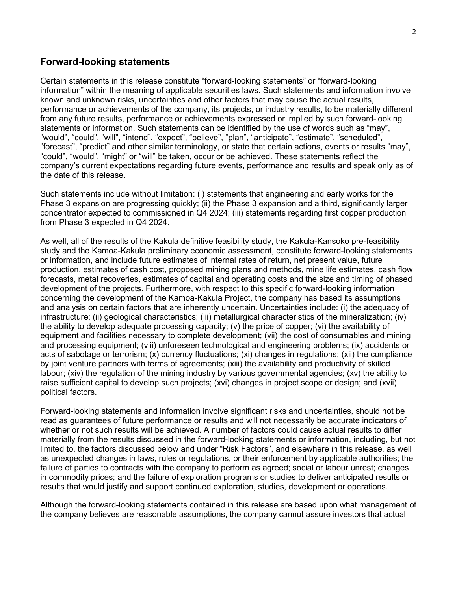## **Forward-looking statements**

Certain statements in this release constitute "forward-looking statements" or "forward-looking information" within the meaning of applicable securities laws. Such statements and information involve known and unknown risks, uncertainties and other factors that may cause the actual results, performance or achievements of the company, its projects, or industry results, to be materially different from any future results, performance or achievements expressed or implied by such forward-looking statements or information. Such statements can be identified by the use of words such as "may", "would", "could", "will", "intend", "expect", "believe", "plan", "anticipate", "estimate", "scheduled", "forecast", "predict" and other similar terminology, or state that certain actions, events or results "may", "could", "would", "might" or "will" be taken, occur or be achieved. These statements reflect the company's current expectations regarding future events, performance and results and speak only as of the date of this release.

Such statements include without limitation: (i) statements that engineering and early works for the Phase 3 expansion are progressing quickly; (ii) the Phase 3 expansion and a third, significantly larger concentrator expected to commissioned in Q4 2024; (iii) statements regarding first copper production from Phase 3 expected in Q4 2024.

As well, all of the results of the Kakula definitive feasibility study, the Kakula-Kansoko pre-feasibility study and the Kamoa-Kakula preliminary economic assessment, constitute forward-looking statements or information, and include future estimates of internal rates of return, net present value, future production, estimates of cash cost, proposed mining plans and methods, mine life estimates, cash flow forecasts, metal recoveries, estimates of capital and operating costs and the size and timing of phased development of the projects. Furthermore, with respect to this specific forward-looking information concerning the development of the Kamoa-Kakula Project, the company has based its assumptions and analysis on certain factors that are inherently uncertain. Uncertainties include: (i) the adequacy of infrastructure; (ii) geological characteristics; (iii) metallurgical characteristics of the mineralization; (iv) the ability to develop adequate processing capacity; (v) the price of copper; (vi) the availability of equipment and facilities necessary to complete development; (vii) the cost of consumables and mining and processing equipment; (viii) unforeseen technological and engineering problems; (ix) accidents or acts of sabotage or terrorism; (x) currency fluctuations; (xi) changes in regulations; (xii) the compliance by joint venture partners with terms of agreements; (xiii) the availability and productivity of skilled labour; (xiv) the regulation of the mining industry by various governmental agencies; (xv) the ability to raise sufficient capital to develop such projects; (xvi) changes in project scope or design; and (xvii) political factors.

Forward-looking statements and information involve significant risks and uncertainties, should not be read as guarantees of future performance or results and will not necessarily be accurate indicators of whether or not such results will be achieved. A number of factors could cause actual results to differ materially from the results discussed in the forward-looking statements or information, including, but not limited to, the factors discussed below and under "Risk Factors", and elsewhere in this release, as well as unexpected changes in laws, rules or regulations, or their enforcement by applicable authorities; the failure of parties to contracts with the company to perform as agreed; social or labour unrest; changes in commodity prices; and the failure of exploration programs or studies to deliver anticipated results or results that would justify and support continued exploration, studies, development or operations.

Although the forward-looking statements contained in this release are based upon what management of the company believes are reasonable assumptions, the company cannot assure investors that actual